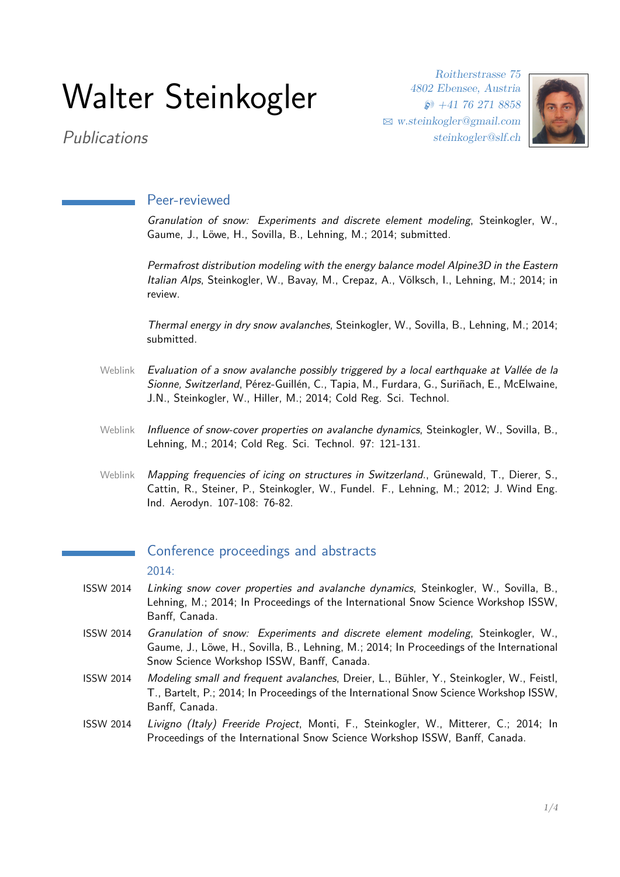# Walter Steinkogler

Roitherstrasse 75 4802 Ebensee, Austria  $\wp$  +41 76 271 8858 B [w.steinkogler@gmail.com](mailto:w.steinkogler@gmail.com) steinkogler@slf.ch



Publications

### Peer-reviewed

Granulation of snow: Experiments and discrete element modeling, Steinkogler, W., Gaume, J., Löwe, H., Sovilla, B., Lehning, M.; 2014; submitted.

Permafrost distribution modeling with the energy balance model Alpine3D in the Eastern Italian Alps, Steinkogler, W., Bavay, M., Crepaz, A., Völksch, I., Lehning, M.; 2014; in review.

Thermal energy in dry snow avalanches, Steinkogler, W., Sovilla, B., Lehning, M.; 2014; submitted.

- [Weblink](http://www.sciencedirect.com/science/article/pii/S0165232X1400130X) Evaluation of a snow avalanche possibly triggered by a local earthquake at Vallée de la Sionne, Switzerland, Pérez-Guillén, C., Tapia, M., Furdara, G., Suriñach, E., McElwaine, J.N., Steinkogler, W., Hiller, M.; 2014; Cold Reg. Sci. Technol.
- [Weblink](http://www.sciencedirect.com/science/article/pii/S0165232X13001535) Influence of snow-cover properties on avalanche dynamics, Steinkogler, W., Sovilla, B., Lehning, M.; 2014; Cold Reg. Sci. Technol. 97: 121-131.
- [Weblink](http://www.sciencedirect.com/science/article/pii/S0167610512000797) Mapping frequencies of icing on structures in Switzerland., Grünewald, T., Dierer, S., Cattin, R., Steiner, P., Steinkogler, W., Fundel. F., Lehning, M.; 2012; J. Wind Eng. Ind. Aerodyn. 107-108: 76-82.

## Conference proceedings and abstracts

#### 2014:

- ISSW 2014 Linking snow cover properties and avalanche dynamics, Steinkogler, W., Sovilla, B., Lehning, M.; 2014; In Proceedings of the International Snow Science Workshop ISSW, Banff, Canada.
- ISSW 2014 Granulation of snow: Experiments and discrete element modeling, Steinkogler, W., Gaume, J., Löwe, H., Sovilla, B., Lehning, M.; 2014; In Proceedings of the International Snow Science Workshop ISSW, Banff, Canada.
- ISSW 2014 Modeling small and frequent avalanches, Dreier, L., Bühler, Y., Steinkogler, W., Feistl, T., Bartelt, P.; 2014; In Proceedings of the International Snow Science Workshop ISSW, Banff, Canada.
- ISSW 2014 Livigno (Italy) Freeride Project, Monti, F., Steinkogler, W., Mitterer, C.; 2014; In Proceedings of the International Snow Science Workshop ISSW, Banff, Canada.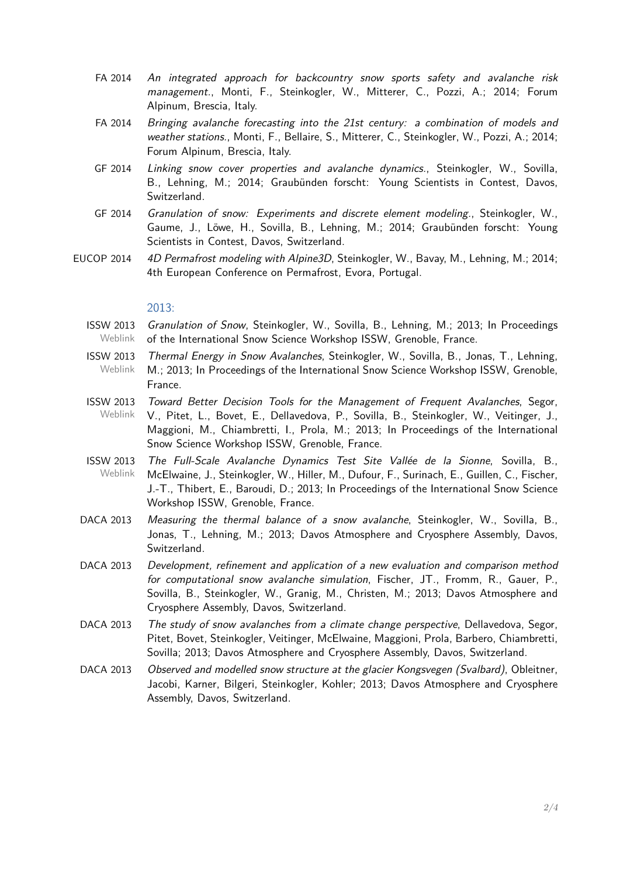- FA 2014 An integrated approach for backcountry snow sports safety and avalanche risk management., Monti, F., Steinkogler, W., Mitterer, C., Pozzi, A.; 2014; Forum Alpinum, Brescia, Italy.
- FA 2014 Bringing avalanche forecasting into the 21st century: a combination of models and weather stations., Monti, F., Bellaire, S., Mitterer, C., Steinkogler, W., Pozzi, A.; 2014; Forum Alpinum, Brescia, Italy.
- GF 2014 Linking snow cover properties and avalanche dynamics., Steinkogler, W., Sovilla, B., Lehning, M.; 2014; Graubünden forscht: Young Scientists in Contest, Davos, Switzerland.
- GF 2014 Granulation of snow: Experiments and discrete element modeling., Steinkogler, W., Gaume, J., Löwe, H., Sovilla, B., Lehning, M.; 2014; Graubünden forscht: Young Scientists in Contest, Davos, Switzerland.
- EUCOP 2014 4D Permafrost modeling with Alpine3D, Steinkogler, W., Bavay, M., Lehning, M.; 2014; 4th European Conference on Permafrost, Evora, Portugal.

#### 2013:

- ISSW 2013 [Weblink](http://arc.lib.montana.edu/snow-science/objects/ISSW13_paper_P2-58.pdf) Granulation of Snow, Steinkogler, W., Sovilla, B., Lehning, M.; 2013; In Proceedings of the International Snow Science Workshop ISSW, Grenoble, France.
- ISSW 2013 [Weblink](http://arc.lib.montana.edu/snow-science/objects/ISSW13_paper_O1-19.pdf) Thermal Energy in Snow Avalanches, Steinkogler, W., Sovilla, B., Jonas, T., Lehning, M.; 2013; In Proceedings of the International Snow Science Workshop ISSW, Grenoble, France.
- ISSW 2013 [Weblink](http://arc.lib.montana.edu/snow-science/objects/ISSW13_paper_P1-03.pdf) Toward Better Decision Tools for the Management of Frequent Avalanches, Segor, V., Pitet, L., Bovet, E., Dellavedova, P., Sovilla, B., Steinkogler, W., Veitinger, J., Maggioni, M., Chiambretti, I., Prola, M.; 2013; In Proceedings of the International Snow Science Workshop ISSW, Grenoble, France.
- ISSW 2013 [Weblink](http://arc.lib.montana.edu/snow-science/objects/ISSW13_paper_O4-33.pdf) The Full-Scale Avalanche Dynamics Test Site Vallée de la Sionne, Sovilla, B., McElwaine, J., Steinkogler, W., Hiller, M., Dufour, F., Surinach, E., Guillen, C., Fischer, J.-T., Thibert, E., Baroudi, D.; 2013; In Proceedings of the International Snow Science Workshop ISSW, Grenoble, France.
- DACA 2013 Measuring the thermal balance of a snow avalanche, Steinkogler, W., Sovilla, B., Jonas, T., Lehning, M.; 2013; Davos Atmosphere and Cryosphere Assembly, Davos, Switzerland.
- DACA 2013 Development, refinement and application of a new evaluation and comparison method for computational snow avalanche simulation, Fischer, JT., Fromm, R., Gauer, P., Sovilla, B., Steinkogler, W., Granig, M., Christen, M.; 2013; Davos Atmosphere and Cryosphere Assembly, Davos, Switzerland.
- DACA 2013 The study of snow avalanches from a climate change perspective, Dellavedova, Segor, Pitet, Bovet, Steinkogler, Veitinger, McElwaine, Maggioni, Prola, Barbero, Chiambretti, Sovilla; 2013; Davos Atmosphere and Cryosphere Assembly, Davos, Switzerland.
- DACA 2013 Observed and modelled snow structure at the glacier Kongsvegen (Svalbard), Obleitner, Jacobi, Karner, Bilgeri, Steinkogler, Kohler; 2013; Davos Atmosphere and Cryosphere Assembly, Davos, Switzerland.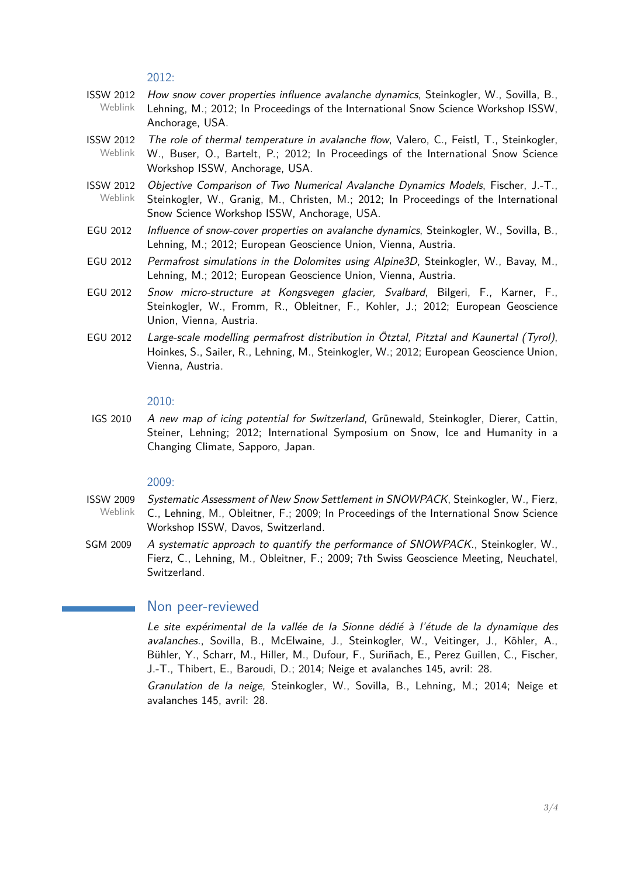2012:

- ISSW 2012 [Weblink](http://arc.lib.montana.edu/snow-science/objects/issw-2012-569-573.pdf) How snow cover properties influence avalanche dynamics, Steinkogler, W., Sovilla, B., Lehning, M.; 2012; In Proceedings of the International Snow Science Workshop ISSW, Anchorage, USA.
- ISSW 2012 [Weblink](http://arc.lib.montana.edu/snow-science/objects/issw-2012-032-037.pdf) The role of thermal temperature in avalanche flow, Valero, C., Feistl, T., Steinkogler, W., Buser, O., Bartelt, P.; 2012; In Proceedings of the International Snow Science Workshop ISSW, Anchorage, USA.
- ISSW 2012 [Weblink](http://arc.lib.montana.edu/snow-science/objects/issw-2012-444-449.pdf) Objective Comparison of Two Numerical Avalanche Dynamics Models, Fischer, J.-T., Steinkogler, W., Granig, M., Christen, M.; 2012; In Proceedings of the International Snow Science Workshop ISSW, Anchorage, USA.
- EGU 2012 Influence of snow-cover properties on avalanche dynamics, Steinkogler, W., Sovilla, B., Lehning, M.; 2012; European Geoscience Union, Vienna, Austria.
- EGU 2012 Permafrost simulations in the Dolomites using Alpine3D, Steinkogler, W., Bavay, M., Lehning, M.; 2012; European Geoscience Union, Vienna, Austria.
- EGU 2012 Snow micro-structure at Kongsvegen glacier, Svalbard, Bilgeri, F., Karner, F., Steinkogler, W., Fromm, R., Obleitner, F., Kohler, J.; 2012; European Geoscience Union, Vienna, Austria.
- EGU 2012 Large-scale modelling permafrost distribution in Ötztal, Pitztal and Kaunertal (Tyrol), Hoinkes, S., Sailer, R., Lehning, M., Steinkogler, W.; 2012; European Geoscience Union, Vienna, Austria.

#### 2010:

IGS 2010 A new map of icing potential for Switzerland, Grünewald, Steinkogler, Dierer, Cattin, Steiner, Lehning; 2012; International Symposium on Snow, Ice and Humanity in a Changing Climate, Sapporo, Japan.

#### 2009:

- ISSW 2009 [Weblink](http://arc.lib.montana.edu/snow-science/objects/issw-2009-0132-0135.pdf) Systematic Assessment of New Snow Settlement in SNOWPACK, Steinkogler, W., Fierz, C., Lehning, M., Obleitner, F.; 2009; In Proceedings of the International Snow Science Workshop ISSW, Davos, Switzerland.
- SGM 2009 A systematic approach to quantify the performance of SNOWPACK., Steinkogler, W., Fierz, C., Lehning, M., Obleitner, F.; 2009; 7th Swiss Geoscience Meeting, Neuchatel, Switzerland.

#### Non peer-reviewed

Le site expérimental de la vallée de la Sionne dédié à l'étude de la dynamique des avalanches., Sovilla, B., McElwaine, J., Steinkogler, W., Veitinger, J., Köhler, A., Bühler, Y., Scharr, M., Hiller, M., Dufour, F., Suriñach, E., Perez Guillen, C., Fischer, J.-T., Thibert, E., Baroudi, D.; 2014; Neige et avalanches 145, avril: 28.

Granulation de la neige, Steinkogler, W., Sovilla, B., Lehning, M.; 2014; Neige et avalanches 145, avril: 28.